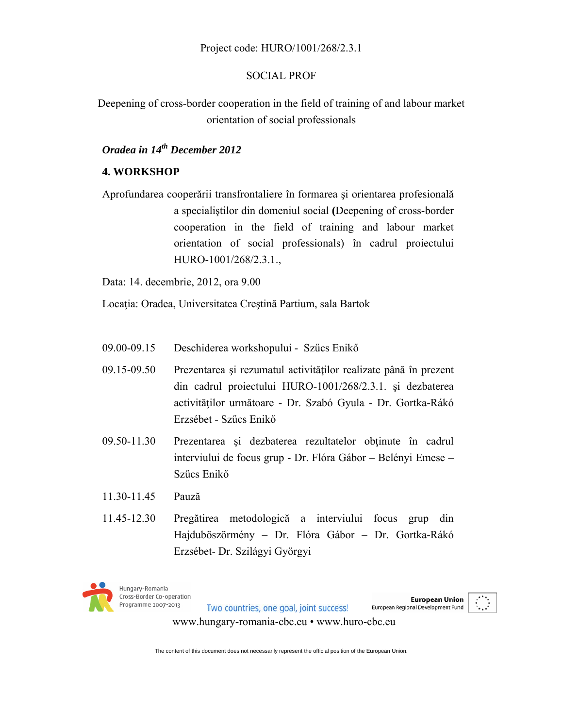## Project code: HURO/1001/268/2.3.1

#### SOCIAL PROF

Deepening of cross-border cooperation in the field of training of and labour market orientation of social professionals

# *Oradea in 14th December 2012*

#### **4. WORKSHOP**

Aprofundarea cooperării transfrontaliere în formarea şi orientarea profesională a specialiştilor din domeniul social **(**Deepening of cross-border cooperation in the field of training and labour market orientation of social professionals) în cadrul proiectului HURO-1001/268/2.3.1.,

Data: 14. decembrie, 2012, ora 9.00

Locația: Oradea, Universitatea Creștină Partium, sala Bartok

- 09.00-09.15 Deschiderea workshopului Szűcs Enikő
- 09.15-09.50 Prezentarea şi rezumatul activităţilor realizate până în prezent din cadrul proiectului HURO-1001/268/2.3.1. şi dezbaterea activităţilor următoare - Dr. Szabó Gyula - Dr. Gortka-Rákó Erzsébet - Szűcs Enikő
- 09.50-11.30 Prezentarea şi dezbaterea rezultatelor obţinute în cadrul interviului de focus grup - Dr. Flóra Gábor – Belényi Emese – Szűcs Enikő
- 11.30-11.45 Pauză
- 11.45-12.30 Pregătirea metodologică a interviului focus grup din Hajduböszörmény – Dr. Flóra Gábor – Dr. Gortka-Rákó Erzsébet- Dr. Szilágyi Györgyi



The content of this document does not necessarily represent the official position of the European Union.